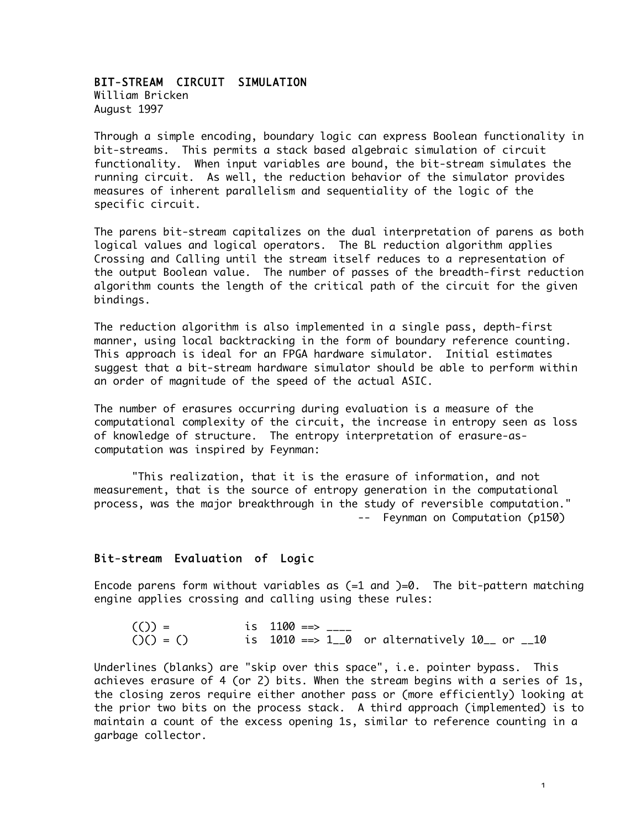#### BIT-STREAM CIRCUIT SIMULATION

William Bricken August 1997

Through a simple encoding, boundary logic can express Boolean functionality in bit-streams. This permits a stack based algebraic simulation of circuit functionality. When input variables are bound, the bit-stream simulates the running circuit. As well, the reduction behavior of the simulator provides measures of inherent parallelism and sequentiality of the logic of the specific circuit.

The parens bit-stream capitalizes on the dual interpretation of parens as both logical values and logical operators. The BL reduction algorithm applies Crossing and Calling until the stream itself reduces to a representation of the output Boolean value. The number of passes of the breadth-first reduction algorithm counts the length of the critical path of the circuit for the given bindings.

The reduction algorithm is also implemented in a single pass, depth-first manner, using local backtracking in the form of boundary reference counting. This approach is ideal for an FPGA hardware simulator. Initial estimates suggest that a bit-stream hardware simulator should be able to perform within an order of magnitude of the speed of the actual ASIC.

The number of erasures occurring during evaluation is a measure of the computational complexity of the circuit, the increase in entropy seen as loss of knowledge of structure. The entropy interpretation of erasure-ascomputation was inspired by Feynman:

"This realization, that it is the erasure of information, and not measurement, that is the source of entropy generation in the computational process, was the major breakthrough in the study of reversible computation." -- Feynman on Computation (p150)

# Bit-stream Evaluation of Logic

Encode parens form without variables as  $(=1 \text{ and } )=0$ . The bit-pattern matching engine applies crossing and calling using these rules:

| $(()) =$      | is 1100 ==> ____ |                                                           |  |
|---------------|------------------|-----------------------------------------------------------|--|
| $O(1) = O(1)$ |                  | is $1010 \implies 1\_0$ or alternatively $10\_$ or $\_10$ |  |

Underlines (blanks) are "skip over this space", i.e. pointer bypass. This achieves erasure of 4 (or 2) bits. When the stream begins with a series of 1s, the closing zeros require either another pass or (more efficiently) looking at the prior two bits on the process stack. A third approach (implemented) is to maintain a count of the excess opening 1s, similar to reference counting in a garbage collector.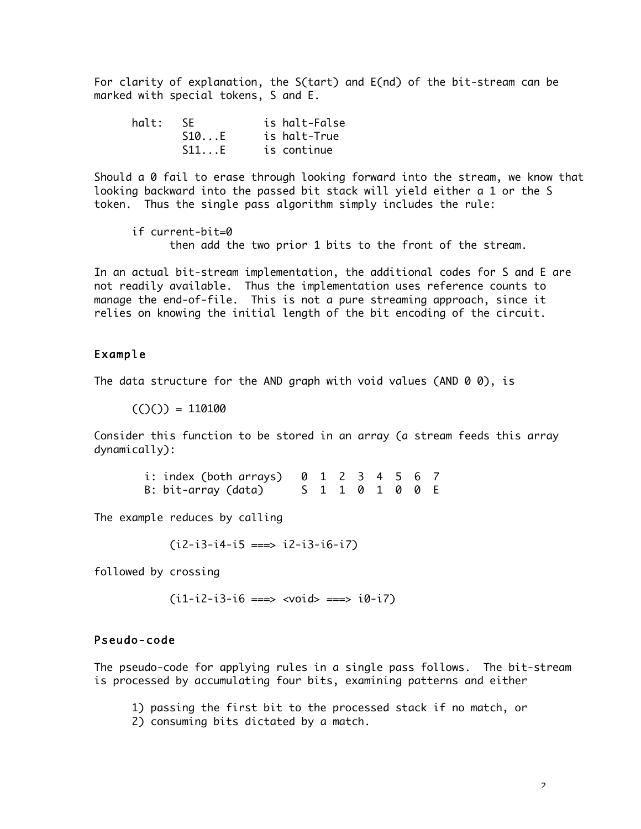For clarity of explanation, the S(tart) and E(nd) of the bit-stream can be marked with special tokens, S and E.

| halt: SE |      | is halt-False |
|----------|------|---------------|
|          | S10E | is halt-True  |
|          | S11E | is continue   |

Should a 0 fail to erase through looking forward into the stream, we know that looking backward into the passed bit stack will yield either a 1 or the S token. Thus the single pass algorithm simply includes the rule:

if current-bit=0 then add the two prior 1 bits to the front of the stream.

In an actual bit-stream implementation, the additional codes for S and E are not readily available. Thus the implementation uses reference counts to manage the end-of-file. This is not a pure streaming approach, since it relies on knowing the initial length of the bit encoding of the circuit.

# Example

The data structure for the AND graph with void values (AND  $\theta$   $\theta$ ), is

 $((\ )\ ) = 110100$ 

Consider this function to be stored in an array (a stream feeds this array dynamically):

| i: index (both arrays) $0 \t1 \t2 \t3 \t4 \t5 \t6 \t7$ |  |  |  |                 |  |
|--------------------------------------------------------|--|--|--|-----------------|--|
| B: bit-array (data)                                    |  |  |  | S 1 1 0 1 0 0 E |  |

The example reduces by calling

 $(i2-i3-i4-i5 == > i2-i3-i6-i7)$ 

followed by crossing

 $(i1-i2-i3-i6 ==> \text{vold} > ==> i0-i7)$ 

# Pseudo-code

The pseudo-code for applying rules in a single pass follows. The bit-stream is processed by accumulating four bits, examining patterns and either

- 1) passing the first bit to the processed stack if no match, or
- 2) consuming bits dictated by a match.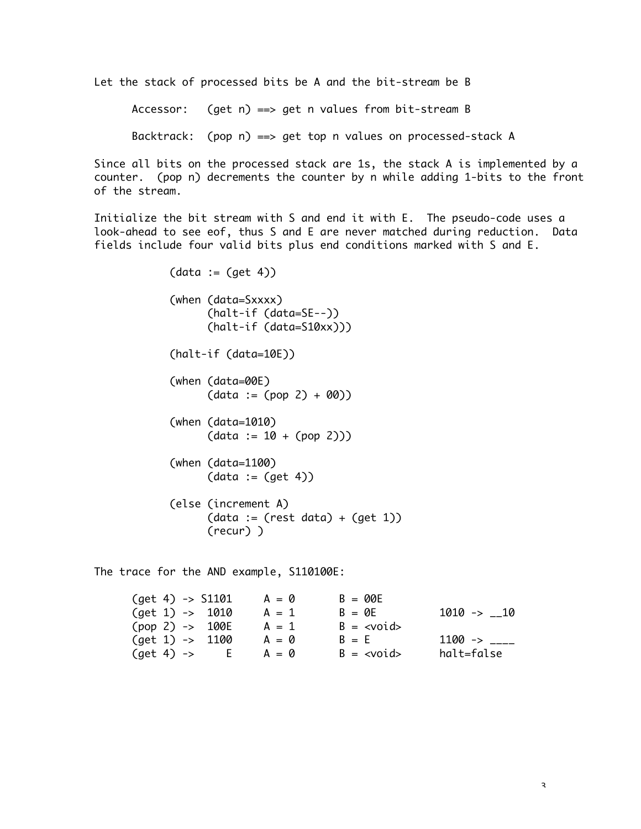Let the stack of processed bits be A and the bit-stream be B

Accessor: (get n) ==> get n values from bit-stream B

Backtrack: (pop n) ==> get top n values on processed-stack A

Since all bits on the processed stack are 1s, the stack A is implemented by a counter. (pop n) decrements the counter by n while adding 1-bits to the front of the stream.

Initialize the bit stream with S and end it with E. The pseudo-code uses a look-ahead to see eof, thus S and E are never matched during reduction. Data fields include four valid bits plus end conditions marked with S and E.

> $(data := (get 4))$ (when (data=Sxxxx) (halt-if (data=SE--)) (halt-if (data=S10xx))) (halt-if (data=10E)) (when (data=00E)  $(data := (pop 2) + 00)$ (when (data=1010)  $(data := 10 + (pop 2)))$ (when (data=1100)  $(data := (get 4))$ (else (increment A)  $(data := (rest data) + (get 1))$ (recur) )

The trace for the AND example, S110100E:

| $(get 4) \rightarrow $1101$       | $A = \emptyset$ | $B = 00E$     |                 |
|-----------------------------------|-----------------|---------------|-----------------|
| $\text{(get 1)} \rightarrow 1010$ | $A = 1$         | $B = 0F$      | $1010$ -> $-10$ |
| $(pop 2) \rightarrow 100E$        | $A = 1$         | $B = $        |                 |
| $\text{(get 1)} \rightarrow 1100$ | $A = \emptyset$ | $B = F$       | $1100 - >$      |
| (get 4) ->                        | $A = \emptyset$ | $B = <$ void> | halt=false      |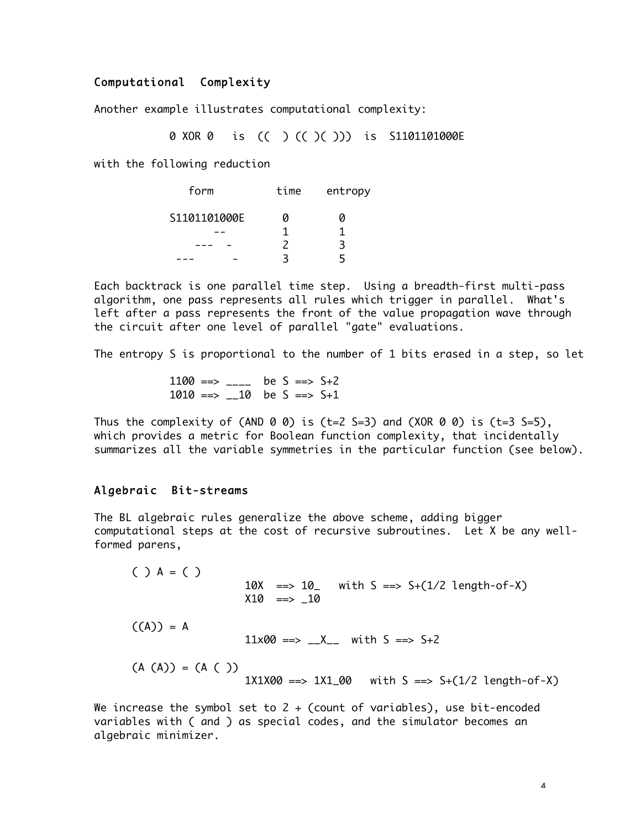## Computational Complexity

Another example illustrates computational complexity:

0 XOR 0 is (( ) (( )( ))) is S1101101000E

with the following reduction

| form         | time | entropy |  |  |
|--------------|------|---------|--|--|
| S1101101000E | и    | n       |  |  |
|              |      |         |  |  |
|              | 2    | ₹       |  |  |
|              |      |         |  |  |

Each backtrack is one parallel time step. Using a breadth-first multi-pass algorithm, one pass represents all rules which trigger in parallel. What's left after a pass represents the front of the value propagation wave through the circuit after one level of parallel "gate" evaluations.

The entropy S is proportional to the number of 1 bits erased in a step, so let

1100 ==> \_\_\_\_ be S ==>  $S+2$  $1010 == > \_10$  be  $S == > S+1$ 

Thus the complexity of (AND 0 0) is (t=2 S=3) and (XOR 0 0) is (t=3 S=5), which provides a metric for Boolean function complexity, that incidentally summarizes all the variable symmetries in the particular function (see below).

#### Algebraic Bit-streams

The BL algebraic rules generalize the above scheme, adding bigger computational steps at the cost of recursive subroutines. Let X be any wellformed parens,

 $( ) A = ( )$ 10X ==>  $10$  with S ==>  $5+(1/2 \text{ length-of-X})$  $X10 == > 10$  $((A)) = A$  $11x00 \implies X_2$  with  $S \implies S+2$  $(A (A)) = (A ( ) )$  $1X1X00 == > 1X1_00$  with  $S == > S+(1/2 \text{length-of-X})$ 

We increase the symbol set to 2 + (count of variables), use bit-encoded variables with ( and ) as special codes, and the simulator becomes an algebraic minimizer.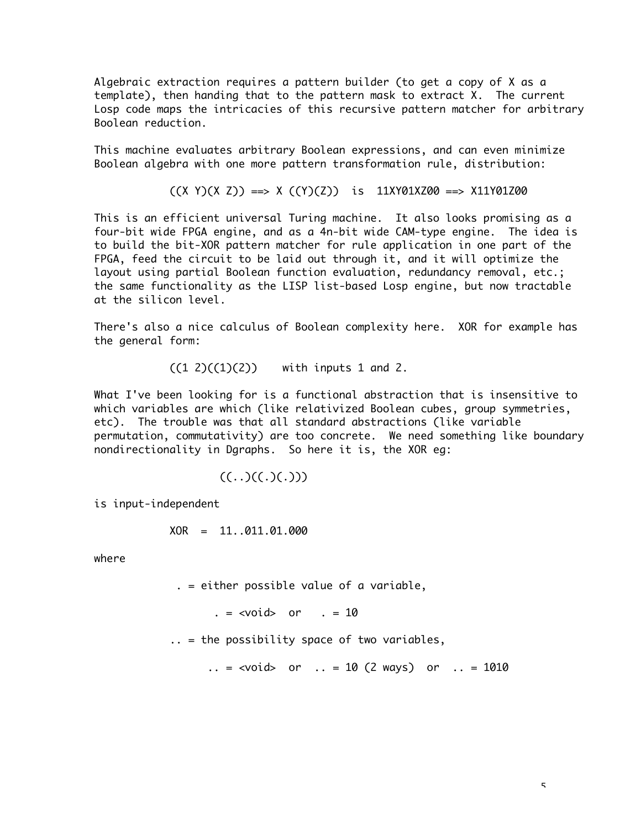Algebraic extraction requires a pattern builder (to get a copy of X as a template), then handing that to the pattern mask to extract X. The current Losp code maps the intricacies of this recursive pattern matcher for arbitrary Boolean reduction.

This machine evaluates arbitrary Boolean expressions, and can even minimize Boolean algebra with one more pattern transformation rule, distribution:

 $((X Y)(X Z)) == X ((Y)(Z))$  is 11XY01XZ00 ==> X11Y01Z00

This is an efficient universal Turing machine. It also looks promising as a four-bit wide FPGA engine, and as a 4n-bit wide CAM-type engine. The idea is to build the bit-XOR pattern matcher for rule application in one part of the FPGA, feed the circuit to be laid out through it, and it will optimize the layout using partial Boolean function evaluation, redundancy removal, etc.; the same functionality as the LISP list-based Losp engine, but now tractable at the silicon level.

There's also a nice calculus of Boolean complexity here. XOR for example has the general form:

 $((1 2)((1)(2))$  with inputs 1 and 2.

What I've been looking for is a functional abstraction that is insensitive to which variables are which (like relativized Boolean cubes, group symmetries, etc). The trouble was that all standard abstractions (like variable permutation, commutativity) are too concrete. We need something like boundary nondirectionality in Dgraphs. So here it is, the XOR eg:

$$
((\ldots)((\ldots)(\ldots)))
$$

is input-independent

$$
XOR = 11..011.01.000
$$

where

. = either possible value of a variable,

 $. = <$ void> or  $. = 10$ 

.. = the possibility space of two variables,

.. =  $\langle \text{void} \rangle$  or .. = 10 (2 ways) or .. = 1010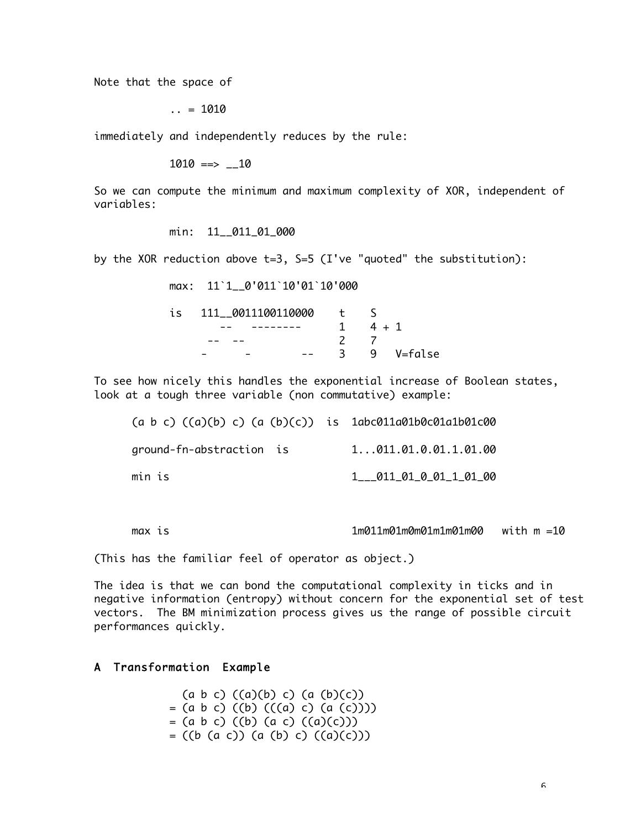Note that the space of

 $\ldots$  = 1010

immediately and independently reduces by the rule:

 $1010 == 10$ 

So we can compute the minimum and maximum complexity of XOR, independent of variables:

min: 11 011 01 000

by the XOR reduction above  $t=3$ , S=5 (I've "quoted" the substitution):

max: 11`1\_\_0'011`10'01`10'000

| is | 111 0011100110000 |    |       |           |
|----|-------------------|----|-------|-----------|
|    |                   |    | 4 + 1 |           |
|    |                   |    |       |           |
|    |                   | 3. |       | 9 V=false |

To see how nicely this handles the exponential increase of Boolean states, look at a tough three variable (non commutative) example:

| (a b c) ((a)(b) c) (a (b)(c)) is 1abc011a01b0c01a1b01c00 |                                   |
|----------------------------------------------------------|-----------------------------------|
| ground-fn-abstraction is                                 | 1. 011.01.0.01.1.01.00            |
| min is                                                   | $1$ $011$ $01$ $01$ $1$ $01$ $00$ |

max is 1m011m01m0m01m1m01m00 with m =10

(This has the familiar feel of operator as object.)

The idea is that we can bond the computational complexity in ticks and in negative information (entropy) without concern for the exponential set of test vectors. The BM minimization process gives us the range of possible circuit performances quickly.

#### A Transformation Example

 $(a \ b \ c) ((a)(b) \ c) (a (b)(c))$  $= (a \ b \ c) ((b) ((a \ c) (a (c))))$  $= (a \ b \ c) ((b) (a \ c) ((a)(c)))$  $= ((b (a c)) (a (b) c) ((a)(c)))$